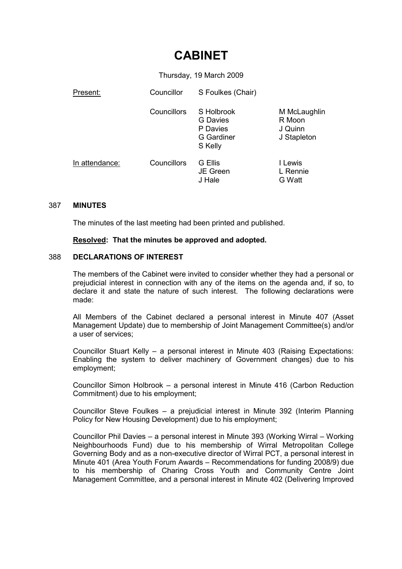# CABINET

Thursday, 19 March 2009

| Present:       | Councillor  | S Foulkes (Chair)                                                         |                                                  |
|----------------|-------------|---------------------------------------------------------------------------|--------------------------------------------------|
|                | Councillors | S Holbrook<br><b>G</b> Davies<br>P Davies<br><b>G</b> Gardiner<br>S Kelly | M McLaughlin<br>R Moon<br>J Quinn<br>J Stapleton |
| In attendance: | Councillors | G Ellis<br><b>JE</b> Green<br>J Hale                                      | I Lewis<br>L Rennie<br>G Watt                    |

#### 387 MINUTES

The minutes of the last meeting had been printed and published.

Resolved: That the minutes be approved and adopted.

### 388 DECLARATIONS OF INTEREST

The members of the Cabinet were invited to consider whether they had a personal or prejudicial interest in connection with any of the items on the agenda and, if so, to declare it and state the nature of such interest. The following declarations were made:

All Members of the Cabinet declared a personal interest in Minute 407 (Asset Management Update) due to membership of Joint Management Committee(s) and/or a user of services;

Councillor Stuart Kelly – a personal interest in Minute 403 (Raising Expectations: Enabling the system to deliver machinery of Government changes) due to his employment;

Councillor Simon Holbrook – a personal interest in Minute 416 (Carbon Reduction Commitment) due to his employment;

Councillor Steve Foulkes – a prejudicial interest in Minute 392 (Interim Planning Policy for New Housing Development) due to his employment;

Councillor Phil Davies – a personal interest in Minute 393 (Working Wirral – Working Neighbourhoods Fund) due to his membership of Wirral Metropolitan College Governing Body and as a non-executive director of Wirral PCT, a personal interest in Minute 401 (Area Youth Forum Awards – Recommendations for funding 2008/9) due to his membership of Charing Cross Youth and Community Centre Joint Management Committee, and a personal interest in Minute 402 (Delivering Improved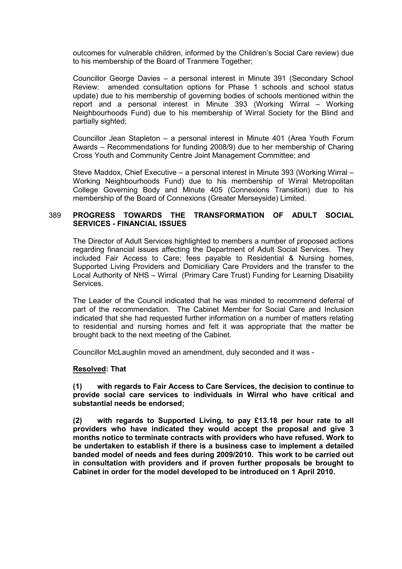outcomes for vulnerable children, informed by the Children's Social Care review) due to his membership of the Board of Tranmere Together;

Councillor George Davies – a personal interest in Minute 391 (Secondary School Review: amended consultation options for Phase 1 schools and school status update) due to his membership of governing bodies of schools mentioned within the report and a personal interest in Minute 393 (Working Wirral – Working Neighbourhoods Fund) due to his membership of Wirral Society for the Blind and partially sighted;

Councillor Jean Stapleton – a personal interest in Minute 401 (Area Youth Forum Awards – Recommendations for funding 2008/9) due to her membership of Charing Cross Youth and Community Centre Joint Management Committee; and

Steve Maddox, Chief Executive – a personal interest in Minute 393 (Working Wirral – Working Neighbourhoods Fund) due to his membership of Wirral Metropolitan College Governing Body and Minute 405 (Connexions Transition) due to his membership of the Board of Connexions (Greater Merseyside) Limited.

#### 389 PROGRESS TOWARDS THE TRANSFORMATION OF ADULT SOCIAL SERVICES - FINANCIAL ISSUES

The Director of Adult Services highlighted to members a number of proposed actions regarding financial issues affecting the Department of Adult Social Services. They included Fair Access to Care; fees payable to Residential & Nursing homes, Supported Living Providers and Domiciliary Care Providers and the transfer to the Local Authority of NHS – Wirral (Primary Care Trust) Funding for Learning Disability Services.

The Leader of the Council indicated that he was minded to recommend deferral of part of the recommendation. The Cabinet Member for Social Care and Inclusion indicated that she had requested further information on a number of matters relating to residential and nursing homes and felt it was appropriate that the matter be brought back to the next meeting of the Cabinet.

Councillor McLaughlin moved an amendment, duly seconded and it was -

### Resolved: That

(1) with regards to Fair Access to Care Services, the decision to continue to provide social care services to individuals in Wirral who have critical and substantial needs be endorsed;

(2) with regards to Supported Living, to pay £13.18 per hour rate to all providers who have indicated they would accept the proposal and give 3 months notice to terminate contracts with providers who have refused. Work to be undertaken to establish if there is a business case to implement a detailed banded model of needs and fees during 2009/2010. This work to be carried out in consultation with providers and if proven further proposals be brought to Cabinet in order for the model developed to be introduced on 1 April 2010.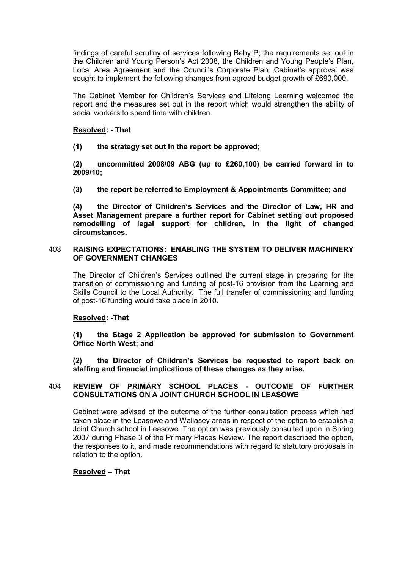findings of careful scrutiny of services following Baby P; the requirements set out in the Children and Young Person's Act 2008, the Children and Young People's Plan, Local Area Agreement and the Council's Corporate Plan. Cabinet's approval was sought to implement the following changes from agreed budget growth of £690,000.

The Cabinet Member for Children's Services and Lifelong Learning welcomed the report and the measures set out in the report which would strengthen the ability of social workers to spend time with children.

## Resolved: - That

(1) the strategy set out in the report be approved;

(2) uncommitted 2008/09 ABG (up to £260,100) be carried forward in to 2009/10;

(3) the report be referred to Employment & Appointments Committee; and

(4) the Director of Children's Services and the Director of Law, HR and Asset Management prepare a further report for Cabinet setting out proposed remodelling of legal support for children, in the light of changed circumstances.

#### 403 RAISING EXPECTATIONS: ENABLING THE SYSTEM TO DELIVER MACHINERY OF GOVERNMENT CHANGES

The Director of Children's Services outlined the current stage in preparing for the transition of commissioning and funding of post-16 provision from the Learning and Skills Council to the Local Authority. The full transfer of commissioning and funding of post-16 funding would take place in 2010.

### Resolved: -That

(1) the Stage 2 Application be approved for submission to Government Office North West; and

(2) the Director of Children's Services be requested to report back on staffing and financial implications of these changes as they arise.

## 404 REVIEW OF PRIMARY SCHOOL PLACES - OUTCOME OF FURTHER CONSULTATIONS ON A JOINT CHURCH SCHOOL IN LEASOWE

Cabinet were advised of the outcome of the further consultation process which had taken place in the Leasowe and Wallasey areas in respect of the option to establish a Joint Church school in Leasowe. The option was previously consulted upon in Spring 2007 during Phase 3 of the Primary Places Review. The report described the option, the responses to it, and made recommendations with regard to statutory proposals in relation to the option.

### Resolved – That